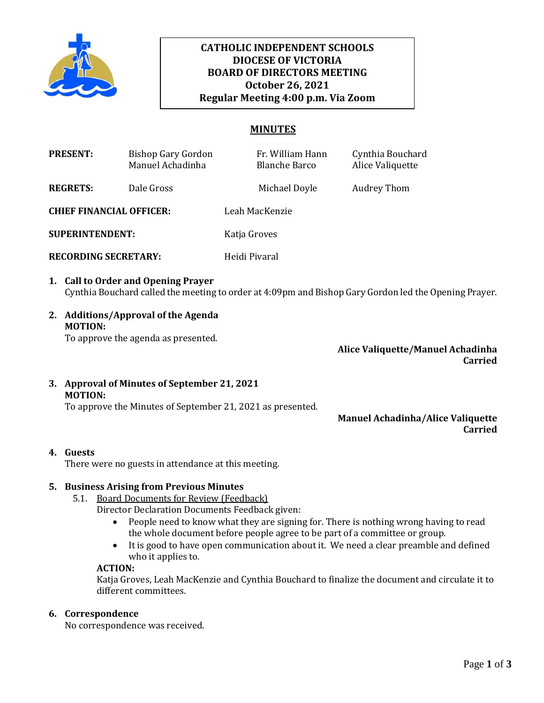

# **October 26, 2021 CATHOLIC INDEPENDENT SCHOOLS DIOCESE OF VICTORIA BOARD OF DIRECTORS MEETING Regular Meeting 4:00 p.m. Via Zoom**

## **MINUTES**

| <b>PRESENT:</b>                 | <b>Bishop Gary Gordon</b><br>Manuel Achadinha | Fr. William Hann<br><b>Blanche Barco</b> | Cynthia Bouchard<br>Alice Valiquette |
|---------------------------------|-----------------------------------------------|------------------------------------------|--------------------------------------|
| <b>REGRETS:</b>                 | Dale Gross                                    | Michael Doyle                            | Audrey Thom                          |
| <b>CHIEF FINANCIAL OFFICER:</b> |                                               | Leah MacKenzie                           |                                      |
| <b>SUPERINTENDENT:</b>          |                                               | Katja Groves                             |                                      |

- **RECORDING SECRETARY:** Heidi Pivaral
- **1. Call to Order and Opening Prayer**  Cynthia Bouchard called the meeting to order at 4:09pm and Bishop Gary Gordon led the Opening Prayer.
- **2. Additions/Approval of the Agenda MOTION:**

To approve the agenda as presented.

**Alice Valiquette/Manuel Achadinha Carried**

**3. Approval of Minutes of September 21, 2021 MOTION:**

To approve the Minutes of September 21, 2021 as presented.

## **Manuel Achadinha/Alice Valiquette Carried**

# **4. Guests**

There were no guests in attendance at this meeting.

# **5. Business Arising from Previous Minutes**

- 5.1. Board Documents for Review (Feedback)
	- Director Declaration Documents Feedback given:
		- People need to know what they are signing for. There is nothing wrong having to read the whole document before people agree to be part of a committee or group.
		- It is good to have open communication about it. We need a clear preamble and defined who it applies to.

### **ACTION:**

Katja Groves, Leah MacKenzie and Cynthia Bouchard to finalize the document and circulate it to different committees.

## **6. Correspondence**

No correspondence was received.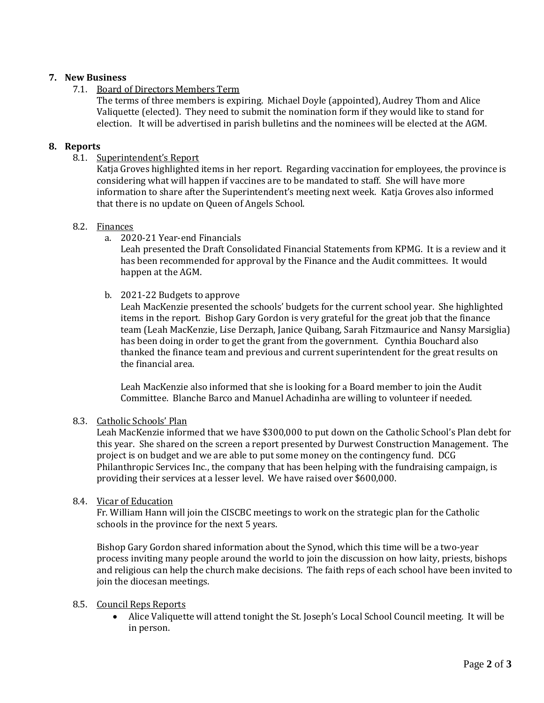## **7. New Business**

7.1. Board of Directors Members Term

The terms of three members is expiring. Michael Doyle (appointed), Audrey Thom and Alice Valiquette (elected). They need to submit the nomination form if they would like to stand for election. It will be advertised in parish bulletins and the nominees will be elected at the AGM.

### **8. Reports**

8.1. Superintendent's Report

Katja Groves highlighted items in her report. Regarding vaccination for employees, the province is considering what will happen if vaccines are to be mandated to staff. She will have more information to share after the Superintendent's meeting next week. Katja Groves also informed that there is no update on Queen of Angels School.

### 8.2. Finances

a. 2020-21 Year-end Financials

Leah presented the Draft Consolidated Financial Statements from KPMG. It is a review and it has been recommended for approval by the Finance and the Audit committees. It would happen at the AGM.

b. 2021-22 Budgets to approve

Leah MacKenzie presented the schools' budgets for the current school year. She highlighted items in the report. Bishop Gary Gordon is very grateful for the great job that the finance team (Leah MacKenzie, Lise Derzaph, Janice Quibang, Sarah Fitzmaurice and Nansy Marsiglia) has been doing in order to get the grant from the government. Cynthia Bouchard also thanked the finance team and previous and current superintendent for the great results on the financial area.

Leah MacKenzie also informed that she is looking for a Board member to join the Audit Committee. Blanche Barco and Manuel Achadinha are willing to volunteer if needed.

### 8.3. Catholic Schools' Plan

Leah MacKenzie informed that we have \$300,000 to put down on the Catholic School's Plan debt for this year. She shared on the screen a report presented by Durwest Construction Management. The project is on budget and we are able to put some money on the contingency fund. DCG Philanthropic Services Inc., the company that has been helping with the fundraising campaign, is providing their services at a lesser level. We have raised over \$600,000.

### 8.4. Vicar of Education

Fr. William Hann will join the CISCBC meetings to work on the strategic plan for the Catholic schools in the province for the next 5 years.

Bishop Gary Gordon shared information about the Synod, which this time will be a two-year process inviting many people around the world to join the discussion on how laity, priests, bishops and religious can help the church make decisions. The faith reps of each school have been invited to join the diocesan meetings.

## 8.5. Council Reps Reports

• Alice Valiquette will attend tonight the St. Joseph's Local School Council meeting. It will be in person.